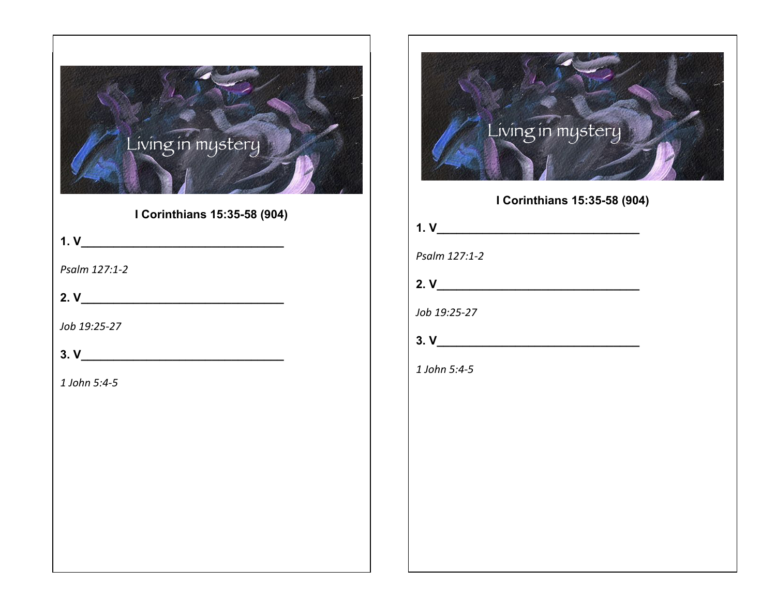

**I Corinthians 15:35-58 (904)**

**1. V\_\_\_\_\_\_\_\_\_\_\_\_\_\_\_\_\_\_\_\_\_\_\_\_\_\_\_\_\_\_\_**

*Psalm 127:1-2*

**2. V\_\_\_\_\_\_\_\_\_\_\_\_\_\_\_\_\_\_\_\_\_\_\_\_\_\_\_\_\_\_\_**

*Job 19:25-27*

**3. V\_\_\_\_\_\_\_\_\_\_\_\_\_\_\_\_\_\_\_\_\_\_\_\_\_\_\_\_\_\_\_**

*1 John 5:4-5*



**I Corinthians 15:35-58 (904)**

| 1. V          |  |  |  |
|---------------|--|--|--|
| Psalm 127:1-2 |  |  |  |

**2. V\_\_\_\_\_\_\_\_\_\_\_\_\_\_\_\_\_\_\_\_\_\_\_\_\_\_\_\_\_\_\_**

*Job 19:25-27*

*1 John 5:4-5*